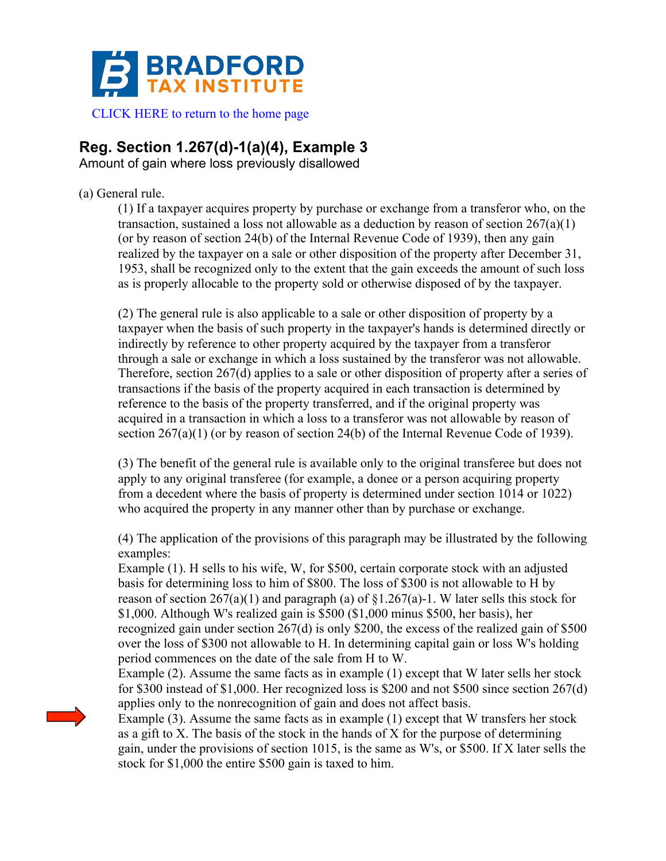

## **Reg. Section 1.267(d)-1(a)(4), Example 3**

Amount of gain where loss previously disallowed

## (a) General rule.

(1) If a taxpayer acquires property by purchase or exchange from a transferor who, on the transaction, sustained a loss not allowable as a deduction by reason of section  $267(a)(1)$ (or by reason of section 24(b) of the Internal Revenue Code of 1939), then any gain realized by the taxpayer on a sale or other disposition of the property after December 31, 1953, shall be recognized only to the extent that the gain exceeds the amount of such loss as is properly allocable to the property sold or otherwise disposed of by the taxpayer.

(2) The general rule is also applicable to a sale or other disposition of property by a taxpayer when the basis of such property in the taxpayer's hands is determined directly or indirectly by reference to other property acquired by the taxpayer from a transferor through a sale or exchange in which a loss sustained by the transferor was not allowable. Therefore, section 267(d) applies to a sale or other disposition of property after a series of transactions if the basis of the property acquired in each transaction is determined by reference to the basis of the property transferred, and if the original property was acquired in a transaction in which a loss to a transferor was not allowable by reason of section 267(a)(1) (or by reason of section 24(b) of the Internal Revenue Code of 1939).

(3) The benefit of the general rule is available only to the original transferee but does not apply to any original transferee (for example, a donee or a person acquiring property from a decedent where the basis of property is determined under section 1014 or 1022) who acquired the property in any manner other than by purchase or exchange.

(4) The application of the provisions of this paragraph may be illustrated by the following examples:

Example (1). H sells to his wife, W, for \$500, certain corporate stock with an adjusted basis for determining loss to him of \$800. The loss of \$300 is not allowable to H by reason of section  $267(a)(1)$  and paragraph (a) of  $\{1.267(a)-1\}$ . W later sells this stock for \$1,000. Although W's realized gain is \$500 (\$1,000 minus \$500, her basis), her recognized gain under section 267(d) is only \$200, the excess of the realized gain of \$500 over the loss of \$300 not allowable to H. In determining capital gain or loss W's holding period commences on the date of the sale from H to W.

Example (2). Assume the same facts as in example (1) except that W later sells her stock for \$300 instead of \$1,000. Her recognized loss is \$200 and not \$500 since section 267(d) applies only to the nonrecognition of gain and does not affect basis.

Example (3). Assume the same facts as in example (1) except that W transfers her stock as a gift to X. The basis of the stock in the hands of X for the purpose of determining gain, under the provisions of section 1015, is the same as W's, or \$500. If X later sells the stock for \$1,000 the entire \$500 gain is taxed to him.